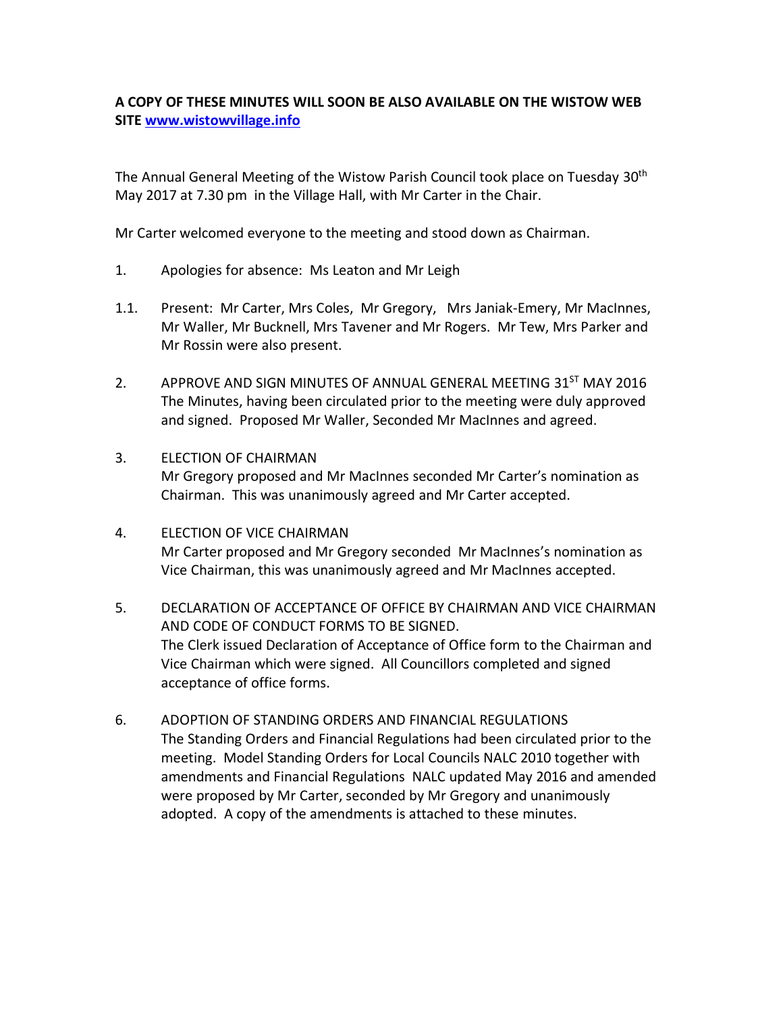## **A COPY OF THESE MINUTES WILL SOON BE ALSO AVAILABLE ON THE WISTOW WEB SITE [www.wistowvillage.info](http://www.wistowvillage.info/)**

The Annual General Meeting of the Wistow Parish Council took place on Tuesday 30<sup>th</sup> May 2017 at 7.30 pm in the Village Hall, with Mr Carter in the Chair.

Mr Carter welcomed everyone to the meeting and stood down as Chairman.

- 1. Apologies for absence: Ms Leaton and Mr Leigh
- 1.1. Present: Mr Carter, Mrs Coles, Mr Gregory, Mrs Janiak-Emery, Mr MacInnes, Mr Waller, Mr Bucknell, Mrs Tavener and Mr Rogers. Mr Tew, Mrs Parker and Mr Rossin were also present.
- 2. APPROVE AND SIGN MINUTES OF ANNUAL GENERAL MEETING 31<sup>ST</sup> MAY 2016 The Minutes, having been circulated prior to the meeting were duly approved and signed. Proposed Mr Waller, Seconded Mr MacInnes and agreed.
- 3. ELECTION OF CHAIRMAN Mr Gregory proposed and Mr MacInnes seconded Mr Carter's nomination as Chairman. This was unanimously agreed and Mr Carter accepted.
- 4. ELECTION OF VICE CHAIRMAN Mr Carter proposed and Mr Gregory seconded Mr MacInnes's nomination as Vice Chairman, this was unanimously agreed and Mr MacInnes accepted.
- 5. DECLARATION OF ACCEPTANCE OF OFFICE BY CHAIRMAN AND VICE CHAIRMAN AND CODE OF CONDUCT FORMS TO BE SIGNED. The Clerk issued Declaration of Acceptance of Office form to the Chairman and Vice Chairman which were signed. All Councillors completed and signed acceptance of office forms.
- 6. ADOPTION OF STANDING ORDERS AND FINANCIAL REGULATIONS The Standing Orders and Financial Regulations had been circulated prior to the meeting. Model Standing Orders for Local Councils NALC 2010 together with amendments and Financial Regulations NALC updated May 2016 and amended were proposed by Mr Carter, seconded by Mr Gregory and unanimously adopted. A copy of the amendments is attached to these minutes.